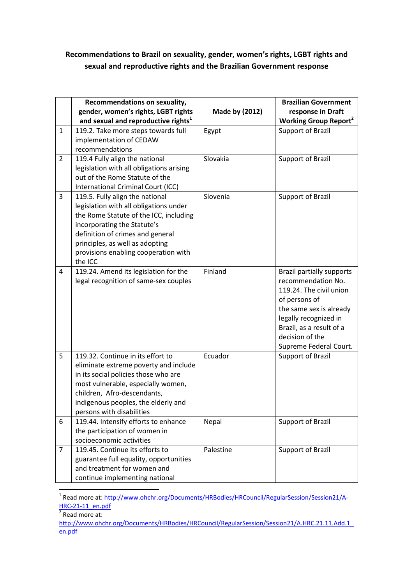## **Recommendations to Brazil on sexuality, gender, women's rights, LGBT rights and sexual and reproductive rights and the Brazilian Government response**

|                | Recommendations on sexuality,<br>gender, women's rights, LGBT rights<br>and sexual and reproductive rights <sup>1</sup>                                                                                                                                                      | Made by (2012) | <b>Brazilian Government</b><br>response in Draft<br><b>Working Group Report<sup>2</sup></b>                                                                                                                                     |
|----------------|------------------------------------------------------------------------------------------------------------------------------------------------------------------------------------------------------------------------------------------------------------------------------|----------------|---------------------------------------------------------------------------------------------------------------------------------------------------------------------------------------------------------------------------------|
| $\mathbf{1}$   | 119.2. Take more steps towards full<br>implementation of CEDAW<br>recommendations                                                                                                                                                                                            | Egypt          | Support of Brazil                                                                                                                                                                                                               |
| $\overline{2}$ | 119.4 Fully align the national<br>legislation with all obligations arising<br>out of the Rome Statute of the<br>International Criminal Court (ICC)                                                                                                                           | Slovakia       | Support of Brazil                                                                                                                                                                                                               |
| 3              | 119.5. Fully align the national<br>legislation with all obligations under<br>the Rome Statute of the ICC, including<br>incorporating the Statute's<br>definition of crimes and general<br>principles, as well as adopting<br>provisions enabling cooperation with<br>the ICC | Slovenia       | Support of Brazil                                                                                                                                                                                                               |
| 4              | 119.24. Amend its legislation for the<br>legal recognition of same-sex couples                                                                                                                                                                                               | Finland        | <b>Brazil partially supports</b><br>recommendation No.<br>119.24. The civil union<br>of persons of<br>the same sex is already<br>legally recognized in<br>Brazil, as a result of a<br>decision of the<br>Supreme Federal Court. |
| 5              | 119.32. Continue in its effort to<br>eliminate extreme poverty and include<br>in its social policies those who are<br>most vulnerable, especially women,<br>children, Afro-descendants,<br>indigenous peoples, the elderly and<br>persons with disabilities                  | Ecuador        | Support of Brazil                                                                                                                                                                                                               |
| 6              | 119.44. Intensify efforts to enhance<br>the participation of women in<br>socioeconomic activities                                                                                                                                                                            | Nepal          | Support of Brazil                                                                                                                                                                                                               |
| $\overline{7}$ | 119.45. Continue its efforts to<br>guarantee full equality, opportunities<br>and treatment for women and<br>continue implementing national                                                                                                                                   | Palestine      | Support of Brazil                                                                                                                                                                                                               |

<sup>&</sup>lt;sup>1</sup> Read more at: http://www.ohchr.org/Documents/HRBodies/HRCouncil/RegularSession/Session21/A-HRC-21-11 en.pdf<br><sup>2</sup> Read more at:

l

http://www.ohchr.org/Documents/HRBodies/HRCouncil/RegularSession/Session21/A.HRC.21.11.Add.1\_ en.pdf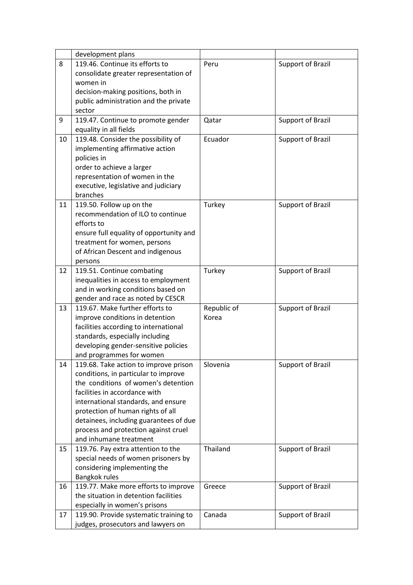|    | development plans                       |             |                          |
|----|-----------------------------------------|-------------|--------------------------|
| 8  | 119.46. Continue its efforts to         | Peru        | <b>Support of Brazil</b> |
|    | consolidate greater representation of   |             |                          |
|    | women in                                |             |                          |
|    | decision-making positions, both in      |             |                          |
|    | public administration and the private   |             |                          |
|    | sector                                  |             |                          |
| 9  | 119.47. Continue to promote gender      | Qatar       | Support of Brazil        |
|    | equality in all fields                  |             |                          |
| 10 | 119.48. Consider the possibility of     | Ecuador     | Support of Brazil        |
|    | implementing affirmative action         |             |                          |
|    | policies in                             |             |                          |
|    | order to achieve a larger               |             |                          |
|    | representation of women in the          |             |                          |
|    | executive, legislative and judiciary    |             |                          |
|    | branches                                |             |                          |
| 11 | 119.50. Follow up on the                | Turkey      | <b>Support of Brazil</b> |
|    | recommendation of ILO to continue       |             |                          |
|    | efforts to                              |             |                          |
|    | ensure full equality of opportunity and |             |                          |
|    | treatment for women, persons            |             |                          |
|    | of African Descent and indigenous       |             |                          |
|    | persons                                 |             |                          |
| 12 | 119.51. Continue combating              | Turkey      | Support of Brazil        |
|    | inequalities in access to employment    |             |                          |
|    | and in working conditions based on      |             |                          |
|    | gender and race as noted by CESCR       |             |                          |
| 13 | 119.67. Make further efforts to         | Republic of | Support of Brazil        |
|    | improve conditions in detention         | Korea       |                          |
|    | facilities according to international   |             |                          |
|    | standards, especially including         |             |                          |
|    | developing gender-sensitive policies    |             |                          |
|    | and programmes for women                |             |                          |
| 14 | 119.68. Take action to improve prison   | Slovenia    | Support of Brazil        |
|    | conditions, in particular to improve    |             |                          |
|    | the conditions of women's detention     |             |                          |
|    | facilities in accordance with           |             |                          |
|    | international standards, and ensure     |             |                          |
|    | protection of human rights of all       |             |                          |
|    | detainees, including guarantees of due  |             |                          |
|    | process and protection against cruel    |             |                          |
|    | and inhumane treatment                  |             |                          |
| 15 | 119.76. Pay extra attention to the      | Thailand    | Support of Brazil        |
|    | special needs of women prisoners by     |             |                          |
|    | considering implementing the            |             |                          |
|    | Bangkok rules                           |             |                          |
| 16 | 119.77. Make more efforts to improve    | Greece      | Support of Brazil        |
|    | the situation in detention facilities   |             |                          |
|    | especially in women's prisons           |             |                          |
| 17 | 119.90. Provide systematic training to  | Canada      | Support of Brazil        |
|    | judges, prosecutors and lawyers on      |             |                          |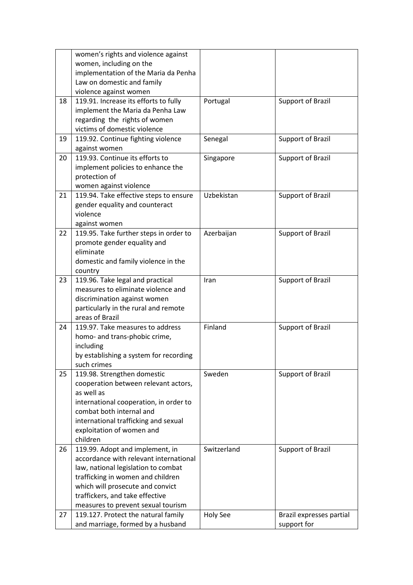|    | women's rights and violence against    |                 |                          |
|----|----------------------------------------|-----------------|--------------------------|
|    | women, including on the                |                 |                          |
|    | implementation of the Maria da Penha   |                 |                          |
|    | Law on domestic and family             |                 |                          |
|    | violence against women                 |                 |                          |
| 18 | 119.91. Increase its efforts to fully  | Portugal        | Support of Brazil        |
|    | implement the Maria da Penha Law       |                 |                          |
|    | regarding the rights of women          |                 |                          |
|    | victims of domestic violence           |                 |                          |
| 19 | 119.92. Continue fighting violence     | Senegal         | Support of Brazil        |
|    | against women                          |                 |                          |
| 20 | 119.93. Continue its efforts to        | Singapore       | Support of Brazil        |
|    | implement policies to enhance the      |                 |                          |
|    | protection of                          |                 |                          |
|    | women against violence                 |                 |                          |
| 21 | 119.94. Take effective steps to ensure | Uzbekistan      | <b>Support of Brazil</b> |
|    | gender equality and counteract         |                 |                          |
|    | violence                               |                 |                          |
|    | against women                          |                 |                          |
| 22 | 119.95. Take further steps in order to | Azerbaijan      | Support of Brazil        |
|    | promote gender equality and            |                 |                          |
|    | eliminate                              |                 |                          |
|    | domestic and family violence in the    |                 |                          |
|    | country                                |                 |                          |
| 23 | 119.96. Take legal and practical       | Iran            | Support of Brazil        |
|    | measures to eliminate violence and     |                 |                          |
|    | discrimination against women           |                 |                          |
|    | particularly in the rural and remote   |                 |                          |
|    | areas of Brazil                        |                 |                          |
| 24 | 119.97. Take measures to address       | Finland         | Support of Brazil        |
|    | homo- and trans-phobic crime,          |                 |                          |
|    | including                              |                 |                          |
|    | by establishing a system for recording |                 |                          |
|    | such crimes                            |                 |                          |
| 25 | 119.98. Strengthen domestic            | Sweden          | Support of Brazil        |
|    | cooperation between relevant actors,   |                 |                          |
|    | as well as                             |                 |                          |
|    | international cooperation, in order to |                 |                          |
|    | combat both internal and               |                 |                          |
|    | international trafficking and sexual   |                 |                          |
|    | exploitation of women and              |                 |                          |
|    | children                               |                 |                          |
| 26 | 119.99. Adopt and implement, in        | Switzerland     | Support of Brazil        |
|    | accordance with relevant international |                 |                          |
|    | law, national legislation to combat    |                 |                          |
|    | trafficking in women and children      |                 |                          |
|    | which will prosecute and convict       |                 |                          |
|    | traffickers, and take effective        |                 |                          |
|    | measures to prevent sexual tourism     |                 |                          |
| 27 | 119.127. Protect the natural family    | <b>Holy See</b> | Brazil expresses partial |
|    | and marriage, formed by a husband      |                 | support for              |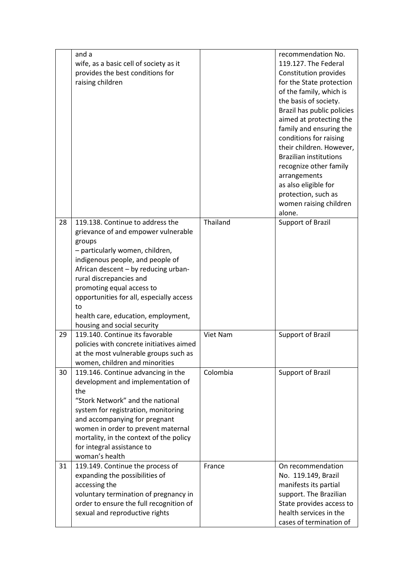|    | and a<br>wife, as a basic cell of society as it<br>provides the best conditions for<br>raising children |          | recommendation No.<br>119.127. The Federal<br>Constitution provides<br>for the State protection<br>of the family, which is<br>the basis of society.<br>Brazil has public policies<br>aimed at protecting the<br>family and ensuring the<br>conditions for raising<br>their children. However,<br><b>Brazilian institutions</b><br>recognize other family<br>arrangements<br>as also eligible for<br>protection, such as<br>women raising children<br>alone. |
|----|---------------------------------------------------------------------------------------------------------|----------|-------------------------------------------------------------------------------------------------------------------------------------------------------------------------------------------------------------------------------------------------------------------------------------------------------------------------------------------------------------------------------------------------------------------------------------------------------------|
| 28 | 119.138. Continue to address the                                                                        | Thailand | <b>Support of Brazil</b>                                                                                                                                                                                                                                                                                                                                                                                                                                    |
|    | grievance of and empower vulnerable<br>groups                                                           |          |                                                                                                                                                                                                                                                                                                                                                                                                                                                             |
|    | - particularly women, children,<br>indigenous people, and people of                                     |          |                                                                                                                                                                                                                                                                                                                                                                                                                                                             |
|    | African descent - by reducing urban-                                                                    |          |                                                                                                                                                                                                                                                                                                                                                                                                                                                             |
|    | rural discrepancies and                                                                                 |          |                                                                                                                                                                                                                                                                                                                                                                                                                                                             |
|    | promoting equal access to                                                                               |          |                                                                                                                                                                                                                                                                                                                                                                                                                                                             |
|    | opportunities for all, especially access<br>to                                                          |          |                                                                                                                                                                                                                                                                                                                                                                                                                                                             |
|    | health care, education, employment,                                                                     |          |                                                                                                                                                                                                                                                                                                                                                                                                                                                             |
|    | housing and social security                                                                             |          |                                                                                                                                                                                                                                                                                                                                                                                                                                                             |
| 29 | 119.140. Continue its favorable                                                                         | Viet Nam | <b>Support of Brazil</b>                                                                                                                                                                                                                                                                                                                                                                                                                                    |
|    | policies with concrete initiatives aimed<br>at the most vulnerable groups such as                       |          |                                                                                                                                                                                                                                                                                                                                                                                                                                                             |
|    | women, children and minorities                                                                          |          |                                                                                                                                                                                                                                                                                                                                                                                                                                                             |
| 30 | 119.146. Continue advancing in the                                                                      | Colombia | <b>Support of Brazil</b>                                                                                                                                                                                                                                                                                                                                                                                                                                    |
|    | development and implementation of                                                                       |          |                                                                                                                                                                                                                                                                                                                                                                                                                                                             |
|    | the<br>"Stork Network" and the national                                                                 |          |                                                                                                                                                                                                                                                                                                                                                                                                                                                             |
|    | system for registration, monitoring                                                                     |          |                                                                                                                                                                                                                                                                                                                                                                                                                                                             |
|    | and accompanying for pregnant                                                                           |          |                                                                                                                                                                                                                                                                                                                                                                                                                                                             |
|    | women in order to prevent maternal                                                                      |          |                                                                                                                                                                                                                                                                                                                                                                                                                                                             |
|    | mortality, in the context of the policy                                                                 |          |                                                                                                                                                                                                                                                                                                                                                                                                                                                             |
|    | for integral assistance to<br>woman's health                                                            |          |                                                                                                                                                                                                                                                                                                                                                                                                                                                             |
| 31 | 119.149. Continue the process of                                                                        | France   | On recommendation                                                                                                                                                                                                                                                                                                                                                                                                                                           |
|    | expanding the possibilities of                                                                          |          | No. 119.149, Brazil                                                                                                                                                                                                                                                                                                                                                                                                                                         |
|    | accessing the                                                                                           |          | manifests its partial<br>support. The Brazilian                                                                                                                                                                                                                                                                                                                                                                                                             |
|    | voluntary termination of pregnancy in<br>order to ensure the full recognition of                        |          | State provides access to                                                                                                                                                                                                                                                                                                                                                                                                                                    |
|    | sexual and reproductive rights                                                                          |          | health services in the                                                                                                                                                                                                                                                                                                                                                                                                                                      |
|    |                                                                                                         |          | cases of termination of                                                                                                                                                                                                                                                                                                                                                                                                                                     |